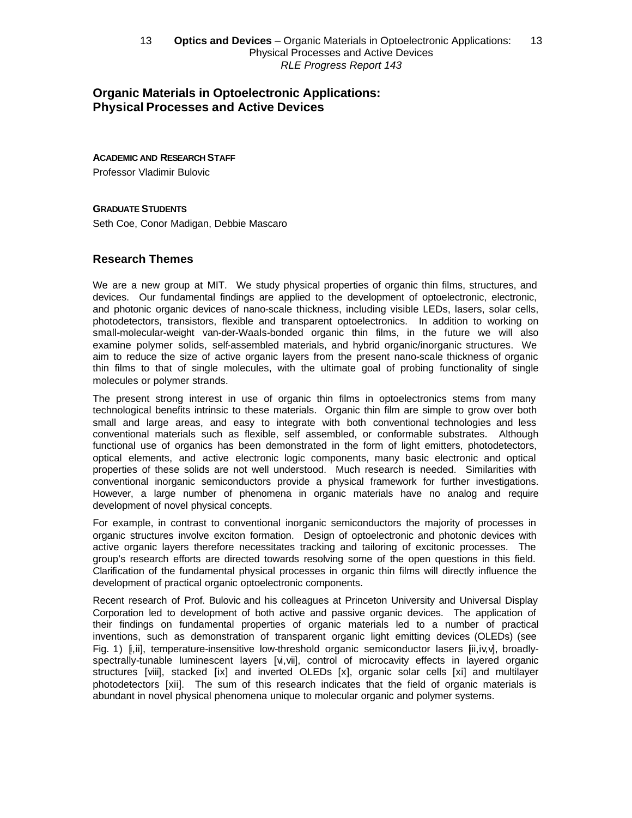# **Organic Materials in Optoelectronic Applications: Physical Processes and Active Devices**

#### **ACADEMIC AND RESEARCH STAFF**

Professor Vladimir Bulovic

#### **GRADUATE STUDENTS**

Seth Coe, Conor Madigan, Debbie Mascaro

## **Research Themes**

We are a new group at MIT. We study physical properties of organic thin films, structures, and devices. Our fundamental findings are applied to the development of optoelectronic, electronic, and photonic organic devices of nano-scale thickness, including visible LEDs, lasers, solar cells, photodetectors, transistors, flexible and transparent optoelectronics. In addition to working on small-molecular-weight van-der-Waals-bonded organic thin films, in the future we will also examine polymer solids, self-assembled materials, and hybrid organic/inorganic structures. We aim to reduce the size of active organic layers from the present nano-scale thickness of organic thin films to that of single molecules, with the ultimate goal of probing functionality of single molecules or polymer strands.

The present strong interest in use of organic thin films in optoelectronics stems from many technological benefits intrinsic to these materials. Organic thin film are simple to grow over both small and large areas, and easy to integrate with both conventional technologies and less conventional materials such as flexible, self assembled, or conformable substrates. Although functional use of organics has been demonstrated in the form of light emitters, photodetectors, optical elements, and active electronic logic components, many basic electronic and optical properties of these solids are not well understood. Much research is needed. Similarities with conventional inorganic semiconductors provide a physical framework for further investigations. However, a large number of phenomena in organic materials have no analog and require development of novel physical concepts.

For example, in contrast to conventional inorganic semiconductors the majority of processes in organic structures involve exciton formation. Design of optoelectronic and photonic devices with active organic layers therefore necessitates tracking and tailoring of excitonic processes. The group's research efforts are directed towards resolving some of the open questions in this field. Clarification of the fundamental physical processes in organic thin films will directly influence the development of practical organic optoelectronic components.

Recent research of Prof. Bulovic and his colleagues at Princeton University and Universal Display Corporation led to development of both active and passive organic devices. The application of their findings on fundamental properties of organic materials led to a number of practical inventions, such as demonstration of transparent organic light emitting devices (OLEDs) (see Fig. 1)  $[i, ii]$ , temperature-insensitive low-threshold organic semiconductor lasers  $[i, i, v, v]$ , broadlyspectrally-tunable luminescent layers [vi,vii], control of microcavity effects in layered organic structures [viii], stacked [ix] and inverted OLEDs [x], organic solar cells [xi] and multilayer photodetectors [xii]. The sum of this research indicates that the field of organic materials is abundant in novel physical phenomena unique to molecular organic and polymer systems.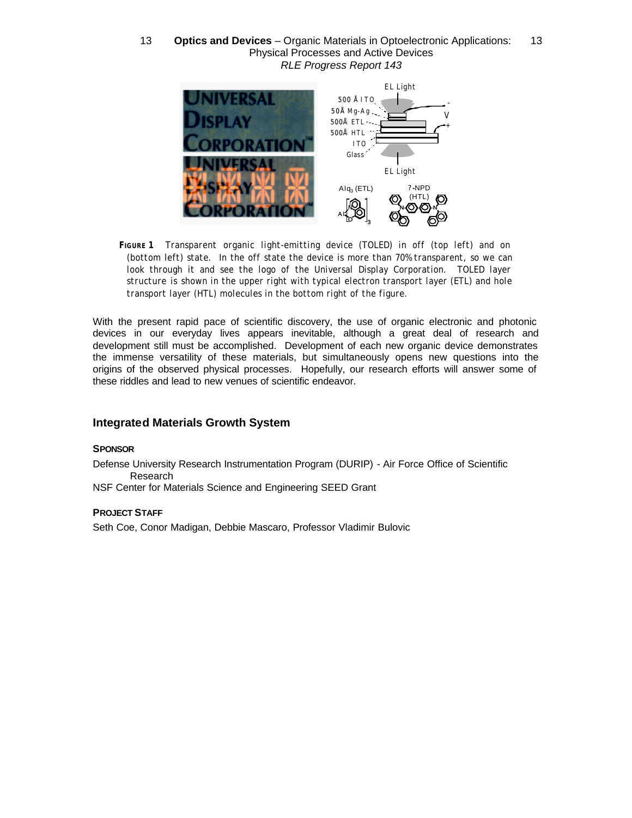

*FIGURE 1 Transparent organic light-emitting device (TOLED) in off (top left) and on (bottom left) state. In the off state the device is more than 70% transparent, so we can look through it and see the logo of the Universal Display Corporation. TOLED layer structure is shown in the upper right with typical electron transport layer (ETL) and hole transport layer (HTL) molecules in the bottom right of the figure.* 

With the present rapid pace of scientific discovery, the use of organic electronic and photonic devices in our everyday lives appears inevitable, although a great deal of research and development still must be accomplished. Development of each new organic device demonstrates the immense versatility of these materials, but simultaneously opens new questions into the origins of the observed physical processes. Hopefully, our research efforts will answer some of these riddles and lead to new venues of scientific endeavor.

# **Integrated Materials Growth System**

#### **SPONSOR**

Defense University Research Instrumentation Program (DURIP) - Air Force Office of Scientific Research

NSF Center for Materials Science and Engineering SEED Grant

## **PROJECT STAFF**

Seth Coe, Conor Madigan, Debbie Mascaro, Professor Vladimir Bulovic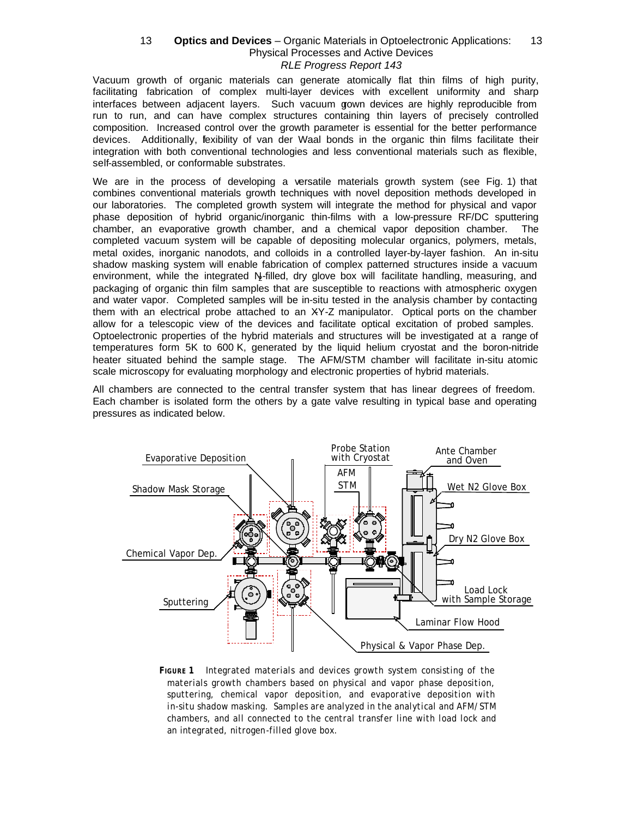Vacuum growth of organic materials can generate atomically flat thin films of high purity, facilitating fabrication of complex multi-layer devices with excellent uniformity and sharp interfaces between adjacent layers. Such vacuum gown devices are highly reproducible from run to run, and can have complex structures containing thin layers of precisely controlled composition. Increased control over the growth parameter is essential for the better performance devices. Additionally, fexibility of van der Waal bonds in the organic thin films facilitate their integration with both conventional technologies and less conventional materials such as flexible, self-assembled, or conformable substrates.

We are in the process of developing a versatile materials growth system (see Fig. 1) that combines conventional materials growth techniques with novel deposition methods developed in our laboratories. The completed growth system will integrate the method for physical and vapor phase deposition of hybrid organic/inorganic thin-films with a low-pressure RF/DC sputtering chamber, an evaporative growth chamber, and a chemical vapor deposition chamber. The completed vacuum system will be capable of depositing molecular organics, polymers, metals, metal oxides, inorganic nanodots, and colloids in a controlled layer-by-layer fashion. An in-situ shadow masking system will enable fabrication of complex patterned structures inside a vacuum environment, while the integrated  $N_z$ -filled, dry glove box will facilitate handling, measuring, and packaging of organic thin film samples that are susceptible to reactions with atmospheric oxygen and water vapor. Completed samples will be in-situ tested in the analysis chamber by contacting them with an electrical probe attached to an XY-Z manipulator. Optical ports on the chamber allow for a telescopic view of the devices and facilitate optical excitation of probed samples. Optoelectronic properties of the hybrid materials and structures will be investigated at a range of temperatures form 5K to 600 K, generated by the liquid helium cryostat and the boron-nitride heater situated behind the sample stage. The AFM/STM chamber will facilitate in-situ atomic scale microscopy for evaluating morphology and electronic properties of hybrid materials.

All chambers are connected to the central transfer system that has linear degrees of freedom. Each chamber is isolated form the others by a gate valve resulting in typical base and operating pressures as indicated below.



*FIGURE 1 Integrated materials and devices growth system consisting of the materials growth chambers based on physical and vapor phase deposition, sputtering, chemical vapor deposition, and evaporative deposition with in-situ shadow masking. Samples are analyzed in the analytical and AFM/STM chambers, and all connected to the central transfer line with load lock and an integrated, nitrogen-filled glove box.*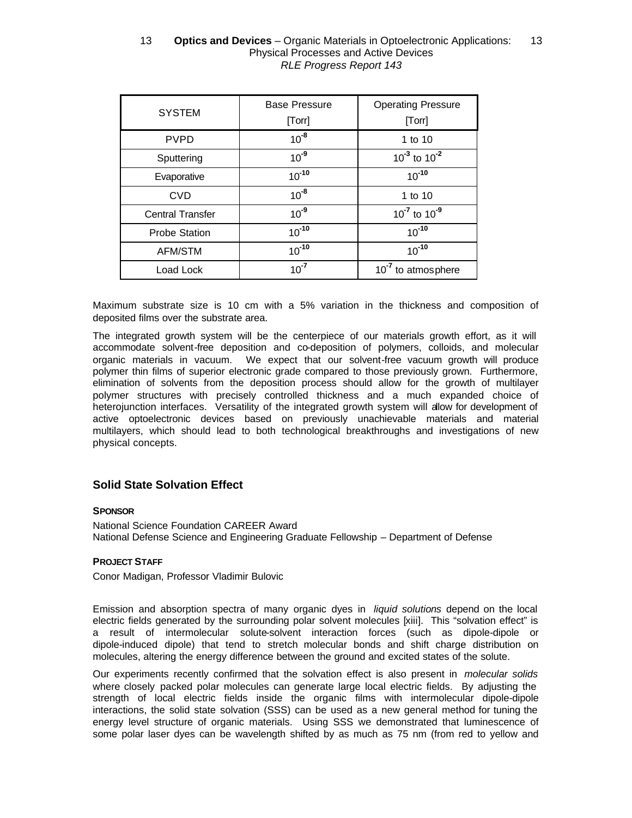| <b>SYSTEM</b>           | <b>Base Pressure</b><br>[Torr] | <b>Operating Pressure</b><br>[Torr] |
|-------------------------|--------------------------------|-------------------------------------|
| <b>PVPD</b>             | $10^{-8}$                      | 1 to 10                             |
| Sputtering              | $10^{-9}$                      | $10^{-3}$ to $10^{-2}$              |
| Evaporative             | $10^{-10}$                     | $10^{-10}$                          |
| <b>CVD</b>              | $10^{-8}$                      | 1 to 10                             |
| <b>Central Transfer</b> | $10^{-9}$                      | $10^{-7}$ to $10^{-9}$              |
| <b>Probe Station</b>    | $10^{-10}$                     | $10^{-10}$                          |
| AFM/STM                 | $10^{-10}$                     | $10^{-10}$                          |
| Load Lock               | $10^{-7}$                      | 10 <sup>-7</sup> to atmosphere      |

Maximum substrate size is 10 cm with a 5% variation in the thickness and composition of deposited films over the substrate area.

The integrated growth system will be the centerpiece of our materials growth effort, as it will accommodate solvent-free deposition and co-deposition of polymers, colloids, and molecular organic materials in vacuum. We expect that our solvent-free vacuum growth will produce polymer thin films of superior electronic grade compared to those previously grown. Furthermore, elimination of solvents from the deposition process should allow for the growth of multilayer polymer structures with precisely controlled thickness and a much expanded choice of heterojunction interfaces. Versatility of the integrated growth system will allow for development of active optoelectronic devices based on previously unachievable materials and material multilayers, which should lead to both technological breakthroughs and investigations of new physical concepts.

# **Solid State Solvation Effect**

#### **SPONSOR**

National Science Foundation CAREER Award National Defense Science and Engineering Graduate Fellowship – Department of Defense

#### **PROJECT STAFF**

Conor Madigan, Professor Vladimir Bulovic

Emission and absorption spectra of many organic dyes in *liquid solutions* depend on the local electric fields generated by the surrounding polar solvent molecules [xiii]. This "solvation effect" is a result of intermolecular solute-solvent interaction forces (such as dipole-dipole or dipole-induced dipole) that tend to stretch molecular bonds and shift charge distribution on molecules, altering the energy difference between the ground and excited states of the solute.

Our experiments recently confirmed that the solvation effect is also present in *molecular solids* where closely packed polar molecules can generate large local electric fields. By adjusting the strength of local electric fields inside the organic films with intermolecular dipole-dipole interactions, the solid state solvation (SSS) can be used as a new general method for tuning the energy level structure of organic materials. Using SSS we demonstrated that luminescence of some polar laser dyes can be wavelength shifted by as much as 75 nm (from red to yellow and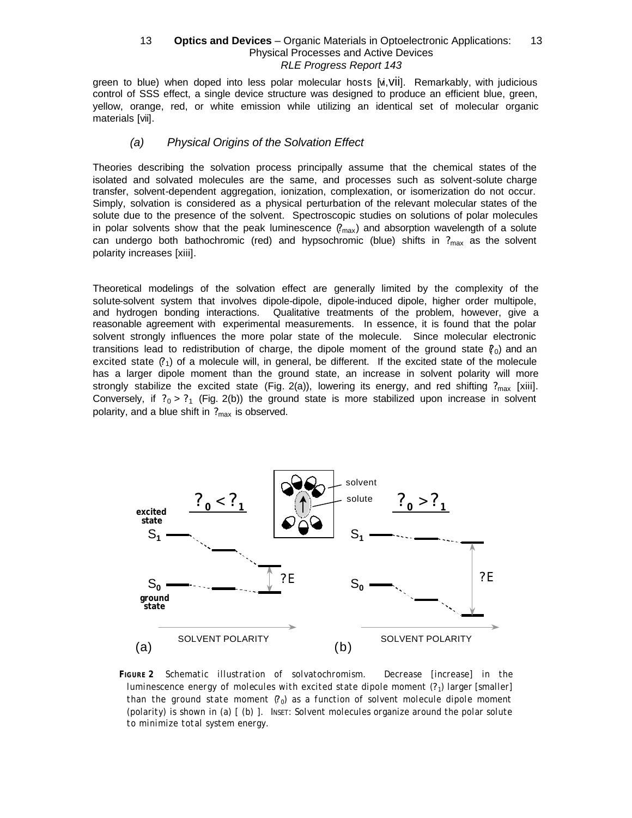green to blue) when doped into less polar molecular hosts [vi,vii]. Remarkably, with judicious control of SSS effect, a single device structure was designed to produce an efficient blue, green, yellow, orange, red, or white emission while utilizing an identical set of molecular organic materials [vii].

### *(a) Physical Origins of the Solvation Effect*

Theories describing the solvation process principally assume that the chemical states of the isolated and solvated molecules are the same, and processes such as solvent-solute charge transfer, solvent-dependent aggregation, ionization, complexation, or isomerization do not occur. Simply, solvation is considered as a physical perturbation of the relevant molecular states of the solute due to the presence of the solvent. Spectroscopic studies on solutions of polar molecules in polar solvents show that the peak luminescence ( $\gamma_{\text{max}}$ ) and absorption wavelength of a solute can undergo both bathochromic (red) and hypsochromic (blue) shifts in  $?_{\text{max}}$  as the solvent polarity increases [xiii].

Theoretical modelings of the solvation effect are generally limited by the complexity of the solute-solvent system that involves dipole-dipole, dipole-induced dipole, higher order multipole, and hydrogen bonding interactions. Qualitative treatments of the problem, however, give a reasonable agreement with experimental measurements. In essence, it is found that the polar solvent strongly influences the more polar state of the molecule. Since molecular electronic transitions lead to redistribution of charge, the dipole moment of the ground state  $(\rho_0)$  and an excited state  $(2)$  of a molecule will, in general, be different. If the excited state of the molecule has a larger dipole moment than the ground state, an increase in solvent polarity will more strongly stabilize the excited state (Fig. 2(a)), lowering its energy, and red shifting ?<sub>max</sub> [xiii]. Conversely, if  $?_0 > ?_1$  (Fig. 2(b)) the ground state is more stabilized upon increase in solvent polarity, and a blue shift in  $P_{\text{max}}$  is observed.



*FIGURE 2 Schematic illustration of solvatochromism. Decrease [increase] in the luminescence energy of molecules with excited state dipole moment (*? *<sup>1</sup>) larger [smaller] than the ground state moment*  $(0)$  as a function of solvent molecule dipole moment *(polarity) is shown in (a) [ (b) ]. INSET: Solvent molecules organize around the polar solute to minimize total system energy.*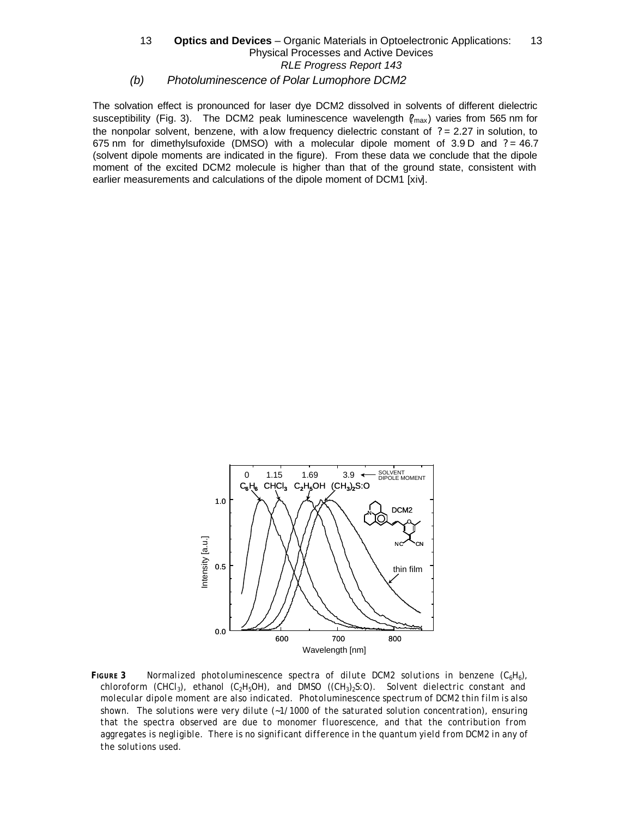### *(b) Photoluminescence of Polar Lumophore DCM2* 13 **— Optics and Devices** – Organic Materials in Optoelectronic Applications: — 13 Physical Processes and Active Devices RLE Progress Report 143

The solvation effect is pronounced for laser dye DCM2 dissolved in solvents of different dielectric susceptibility (Fig. 3). The DCM2 peak luminescence wavelength  $(\ell_{\text{max}})$  varies from 565 nm for the nonpolar solvent, benzene, with a low frequency dielectric constant of  $? = 2.27$  in solution, to 675 nm for dimethylsufoxide (DMSO) with a molecular dipole moment of  $3.9 D$  and  $? = 46.7$ (solvent dipole moments are indicated in the figure). From these data we conclude that the dipole moment of the excited DCM2 molecule is higher than that of the ground state, consistent with earlier measurements and calculations of the dipole moment of DCM1 [xiv].



*FIGURE* 3 *Normalized photoluminescence spectra of dilute DCM2 solutions in benzene (C<sub>6</sub>H<sub>6</sub>), chloroform (CHCl3), ethanol (C2H5OH), and DMSO ((CH3)2S:O). Solvent dielectric constant and molecular dipole moment are also indicated. Photoluminescence spectrum of DCM2 thin film is also shown. The solutions were very dilute (~1/1000 of the saturated solution concentration), ensuring that the spectra observed are due to monomer fluorescence, and that the contribution from*  aggregates is negligible. There is no significant difference in the quantum yield from DCM2 in any of *the solutions used.*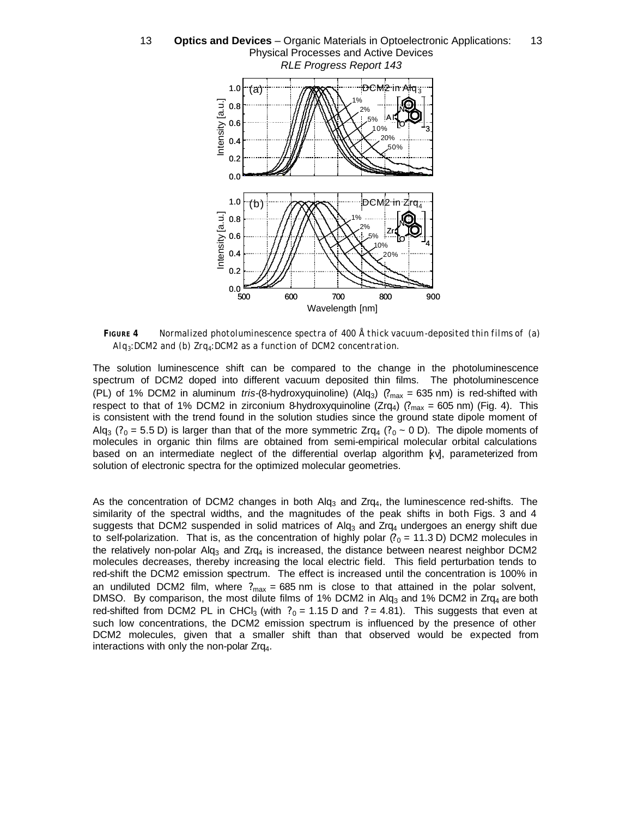

*FIGURE 4 Normalized photoluminescence spectra of 400 Å thick vacuum-deposited thin films of (a) Alq3:DCM2 and (b) Zrq4:DCM2 as a function of DCM2 concentration.*

The solution luminescence shift can be compared to the change in the photoluminescence spectrum of DCM2 doped into different vacuum deposited thin films. The photoluminescence (PL) of 1% DCM2 in aluminum *tris-*(8-hydroxyquinoline) (Alq3) (?max = 635 nm) is red-shifted with respect to that of 1% DCM2 in zirconium 8-hydroxyquinoline ( $Zrq_4$ ) ( $r_{max}$  = 605 nm) (Fig. 4). This is consistent with the trend found in the solution studies since the ground state dipole moment of Alq<sub>3</sub> ( $?0 = 5.5$  D) is larger than that of the more symmetric Zrq<sub>4</sub> ( $?0 \sim 0$  D). The dipole moments of molecules in organic thin films are obtained from semi-empirical molecular orbital calculations based on an intermediate neglect of the differential overlap algorithm [xv], parameterized from solution of electronic spectra for the optimized molecular geometries.

As the concentration of DCM2 changes in both Alq<sub>3</sub> and Zrq<sub>4</sub>, the luminescence red-shifts. The similarity of the spectral widths, and the magnitudes of the peak shifts in both Figs. 3 and 4 suggests that DCM2 suspended in solid matrices of  $Alg<sub>3</sub>$  and Zrq<sub>4</sub> undergoes an energy shift due to self-polarization. That is, as the concentration of highly polar  $(2<sub>0</sub> = 11.3 D)$  DCM2 molecules in the relatively non-polar Alq<sub>3</sub> and Zrq<sub>4</sub> is increased, the distance between nearest neighbor DCM2 molecules decreases, thereby increasing the local electric field. This field perturbation tends to red-shift the DCM2 emission spectrum. The effect is increased until the concentration is 100% in an undiluted DCM2 film, where  $?_{max} = 685$  nm is close to that attained in the polar solvent, DMSO. By comparison, the most dilute films of 1% DCM2 in Alq<sub>3</sub> and 1% DCM2 in Zrq<sub>4</sub> are both red-shifted from DCM2 PL in CHCl<sub>3</sub> (with  $?_0 = 1.15$  D and  $? = 4.81$ ). This suggests that even at such low concentrations, the DCM2 emission spectrum is influenced by the presence of other DCM2 molecules, given that a smaller shift than that observed would be expected from interactions with only the non-polar  $Zrq<sub>4</sub>$ .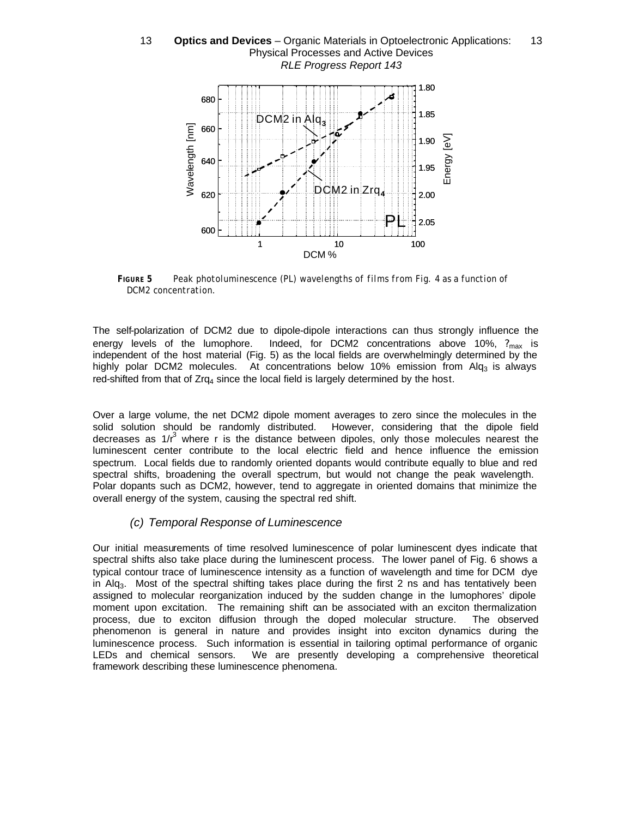## 1.90 1.85 1.80 DCM2 in Alq<sub>3</sub> 660 680 13 **— Optics and Devices** – Organic Materials in Optoelectronic Applications: — 13 Physical Processes and Active Devices RLE Progress Report 143



*FIGURE 5 Peak photoluminescence (PL) wavelengths of films from Fig. 4 as a function of DCM2 concentration.*

The self-polarization of DCM2 due to dipole-dipole interactions can thus strongly influence the energy levels of the lumophore. Indeed, for DCM2 concentrations above 10%,  $?_{max}$  is independent of the host material (Fig. 5) as the local fields are overwhelmingly determined by the highly polar DCM2 molecules. At concentrations below 10% emission from Alq<sub>3</sub> is always red-shifted from that of  $Zrq_4$  since the local field is largely determined by the host.

Over a large volume, the net DCM2 dipole moment averages to zero since the molecules in the solid solution should be randomly distributed. However, considering that the dipole field decreases as  $1/r^3$  where r is the distance between dipoles, only those molecules nearest the luminescent center contribute to the local electric field and hence influence the emission spectrum. Local fields due to randomly oriented dopants would contribute equally to blue and red spectral shifts, broadening the overall spectrum, but would not change the peak wavelength. Polar dopants such as DCM2, however, tend to aggregate in oriented domains that minimize the overall energy of the system, causing the spectral red shift.

# *(c) Temporal Response of Luminescence*

Our initial measurements of time resolved luminescence of polar luminescent dyes indicate that spectral shifts also take place during the luminescent process. The lower panel of Fig. 6 shows a typical contour trace of luminescence intensity as a function of wavelength and time for DCM dye in Alg<sub>3</sub>. Most of the spectral shifting takes place during the first 2 ns and has tentatively been assigned to molecular reorganization induced by the sudden change in the lumophores' dipole moment upon excitation. The remaining shift can be associated with an exciton thermalization process, due to exciton diffusion through the doped molecular structure. The observed phenomenon is general in nature and provides insight into exciton dynamics during the luminescence process. Such information is essential in tailoring optimal performance of organic LEDs and chemical sensors. We are presently developing a comprehensive theoretical framework describing these luminescence phenomena.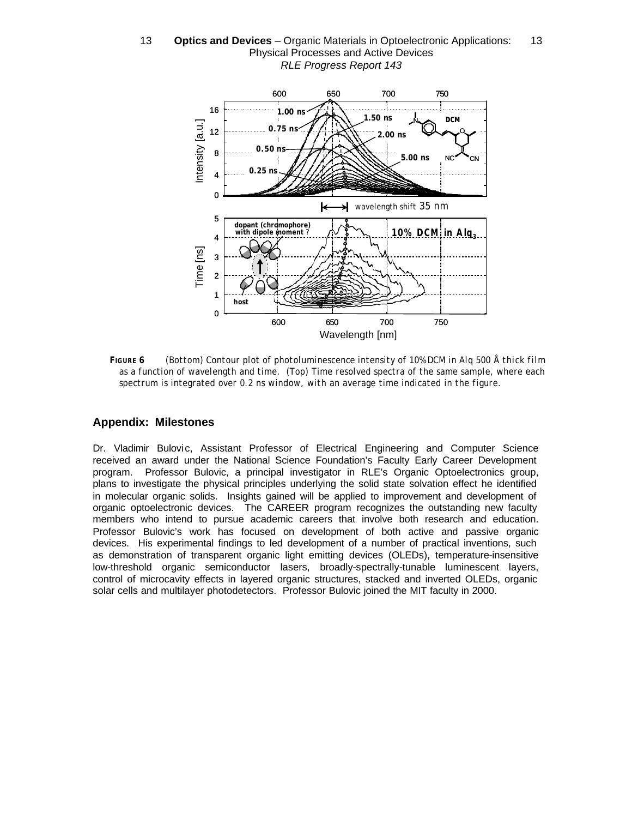

*FIGURE 6 (Bottom) Contour plot of photoluminescence intensity of 10% DCM in Alq 500 Å thick film as a function of wavelength and time. (Top) Time resolved spectra of the same sample, where each spectrum is integrated over 0.2 ns window, with an average time indicated in the figure.*

# **Appendix: Milestones**

Dr. Vladimir Bulovic, Assistant Professor of Electrical Engineering and Computer Science received an award under the National Science Foundation's Faculty Early Career Development program. Professor Bulovic, a principal investigator in RLE's Organic Optoelectronics group, plans to investigate the physical principles underlying the solid state solvation effect he identified in molecular organic solids. Insights gained will be applied to improvement and development of organic optoelectronic devices. The CAREER program recognizes the outstanding new faculty members who intend to pursue academic careers that involve both research and education. Professor Bulovic's work has focused on development of both active and passive organic devices. His experimental findings to led development of a number of practical inventions, such as demonstration of transparent organic light emitting devices (OLEDs), temperature-insensitive low-threshold organic semiconductor lasers, broadly-spectrally-tunable luminescent layers, control of microcavity effects in layered organic structures, stacked and inverted OLEDs, organic